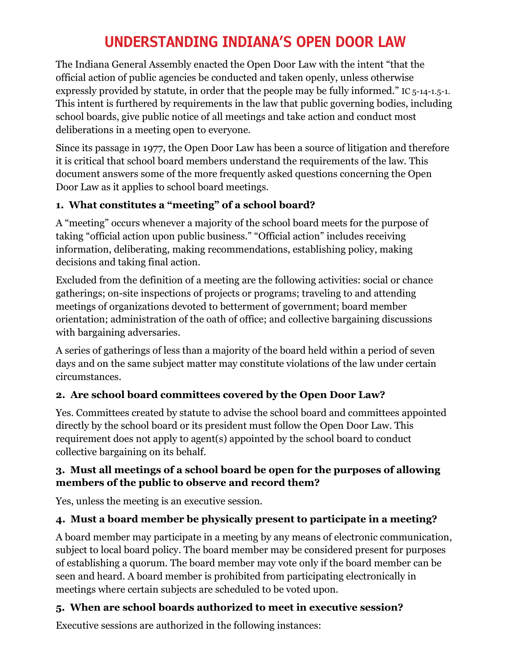# **UNDERSTANDING INDIANA'S OPEN DOOR LAW**

The Indiana General Assembly enacted the Open Door Law with the intent "that the official action of public agencies be conducted and taken openly, unless otherwise expressly provided by statute, in order that the people may be fully informed." IC 5-14-1.5-1. This intent is furthered by requirements in the law that public governing bodies, including school boards, give public notice of all meetings and take action and conduct most deliberations in a meeting open to everyone.

Since its passage in 1977, the Open Door Law has been a source of litigation and therefore it is critical that school board members understand the requirements of the law. This document answers some of the more frequently asked questions concerning the Open Door Law as it applies to school board meetings.

## **1. What constitutes a "meeting" of a school board?**

A "meeting" occurs whenever a majority of the school board meets for the purpose of taking "official action upon public business." "Official action" includes receiving information, deliberating, making recommendations, establishing policy, making decisions and taking final action.

Excluded from the definition of a meeting are the following activities: social or chance gatherings; on-site inspections of projects or programs; traveling to and attending meetings of organizations devoted to betterment of government; board member orientation; administration of the oath of office; and collective bargaining discussions with bargaining adversaries.

A series of gatherings of less than a majority of the board held within a period of seven days and on the same subject matter may constitute violations of the law under certain circumstances.

#### **2. Are school board committees covered by the Open Door Law?**

Yes. Committees created by statute to advise the school board and committees appointed directly by the school board or its president must follow the Open Door Law. This requirement does not apply to agent(s) appointed by the school board to conduct collective bargaining on its behalf.

#### **3. Must all meetings of a school board be open for the purposes of allowing members of the public to observe and record them?**

Yes, unless the meeting is an executive session.

## **4. Must a board member be physically present to participate in a meeting?**

A board member may participate in a meeting by any means of electronic communication, subject to local board policy. The board member may be considered present for purposes of establishing a quorum. The board member may vote only if the board member can be seen and heard. A board member is prohibited from participating electronically in meetings where certain subjects are scheduled to be voted upon.

## **5. When are school boards authorized to meet in executive session?**

Executive sessions are authorized in the following instances: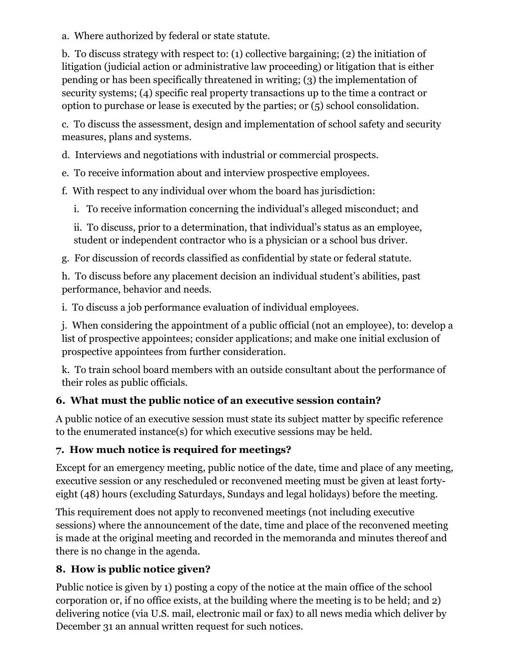a. Where authorized by federal or state statute.

b. To discuss strategy with respect to: (1) collective bargaining; (2) the initiation of litigation (judicial action or administrative law proceeding) or litigation that is either pending or has been specifically threatened in writing; (3) the implementation of security systems; (4) specific real property transactions up to the time a contract or option to purchase or lease is executed by the parties; or (5) school consolidation.

c. To discuss the assessment, design and implementation of school safety and security measures, plans and systems.

d. Interviews and negotiations with industrial or commercial prospects.

e. To receive information about and interview prospective employees.

f. With respect to any individual over whom the board has jurisdiction:

i. To receive information concerning the individual's alleged misconduct; and

ii. To discuss, prior to a determination, that individual's status as an employee, student or independent contractor who is a physician or a school bus driver.

g. For discussion of records classified as confidential by state or federal statute.

h. To discuss before any placement decision an individual student's abilities, past performance, behavior and needs.

i. To discuss a job performance evaluation of individual employees.

j. When considering the appointment of a public official (not an employee), to: develop a list of prospective appointees; consider applications; and make one initial exclusion of prospective appointees from further consideration.

k. To train school board members with an outside consultant about the performance of their roles as public officials.

## **6. What must the public notice of an executive session contain?**

A public notice of an executive session must state its subject matter by specific reference to the enumerated instance(s) for which executive sessions may be held.

## **7. How much notice is required for meetings?**

Except for an emergency meeting, public notice of the date, time and place of any meeting, executive session or any rescheduled or reconvened meeting must be given at least fortyeight (48) hours (excluding Saturdays, Sundays and legal holidays) before the meeting.

This requirement does not apply to reconvened meetings (not including executive sessions) where the announcement of the date, time and place of the reconvened meeting is made at the original meeting and recorded in the memoranda and minutes thereof and there is no change in the agenda.

## **8. How is public notice given?**

Public notice is given by 1) posting a copy of the notice at the main office of the school corporation or, if no office exists, at the building where the meeting is to be held; and 2) delivering notice (via U.S. mail, electronic mail or fax) to all news media which deliver by December 31 an annual written request for such notices.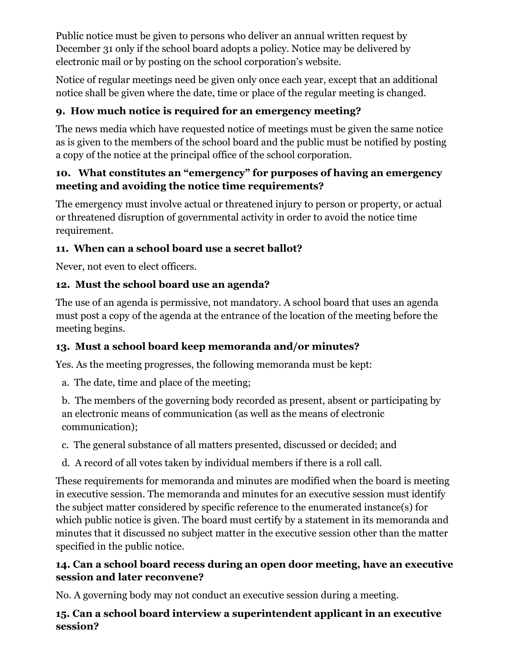Public notice must be given to persons who deliver an annual written request by December 31 only if the school board adopts a policy. Notice may be delivered by electronic mail or by posting on the school corporation's website.

Notice of regular meetings need be given only once each year, except that an additional notice shall be given where the date, time or place of the regular meeting is changed.

# **9. How much notice is required for an emergency meeting?**

The news media which have requested notice of meetings must be given the same notice as is given to the members of the school board and the public must be notified by posting a copy of the notice at the principal office of the school corporation.

#### **10. What constitutes an "emergency" for purposes of having an emergency meeting and avoiding the notice time requirements?**

The emergency must involve actual or threatened injury to person or property, or actual or threatened disruption of governmental activity in order to avoid the notice time requirement.

## **11. When can a school board use a secret ballot?**

Never, not even to elect officers.

## **12. Must the school board use an agenda?**

The use of an agenda is permissive, not mandatory. A school board that uses an agenda must post a copy of the agenda at the entrance of the location of the meeting before the meeting begins.

# **13. Must a school board keep memoranda and/or minutes?**

Yes. As the meeting progresses, the following memoranda must be kept:

a. The date, time and place of the meeting;

b. The members of the governing body recorded as present, absent or participating by an electronic means of communication (as well as the means of electronic communication);

c. The general substance of all matters presented, discussed or decided; and

d. A record of all votes taken by individual members if there is a roll call.

These requirements for memoranda and minutes are modified when the board is meeting in executive session. The memoranda and minutes for an executive session must identify the subject matter considered by specific reference to the enumerated instance(s) for which public notice is given. The board must certify by a statement in its memoranda and minutes that it discussed no subject matter in the executive session other than the matter specified in the public notice.

## **14. Can a school board recess during an open door meeting, have an executive session and later reconvene?**

No. A governing body may not conduct an executive session during a meeting.

## **15. Can a school board interview a superintendent applicant in an executive session?**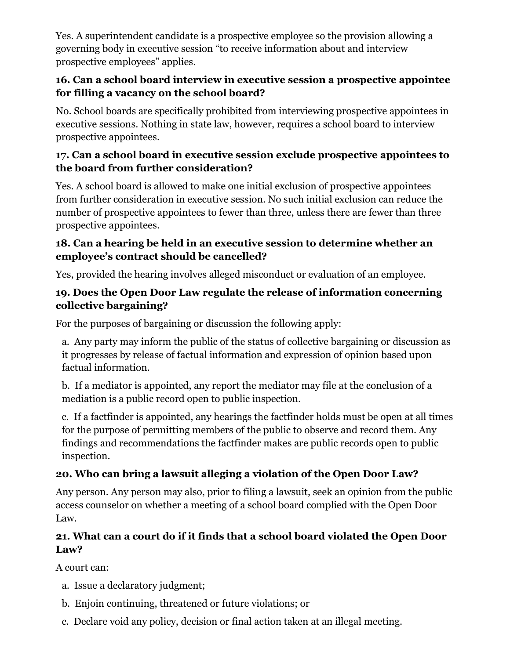Yes. A superintendent candidate is a prospective employee so the provision allowing a governing body in executive session "to receive information about and interview prospective employees" applies.

#### **16. Can a school board interview in executive session a prospective appointee for filling a vacancy on the school board?**

No. School boards are specifically prohibited from interviewing prospective appointees in executive sessions. Nothing in state law, however, requires a school board to interview prospective appointees.

#### **17. Can a school board in executive session exclude prospective appointees to the board from further consideration?**

Yes. A school board is allowed to make one initial exclusion of prospective appointees from further consideration in executive session. No such initial exclusion can reduce the number of prospective appointees to fewer than three, unless there are fewer than three prospective appointees.

#### **18. Can a hearing be held in an executive session to determine whether an employee's contract should be cancelled?**

Yes, provided the hearing involves alleged misconduct or evaluation of an employee.

#### **19. Does the Open Door Law regulate the release of information concerning collective bargaining?**

For the purposes of bargaining or discussion the following apply:

a. Any party may inform the public of the status of collective bargaining or discussion as it progresses by release of factual information and expression of opinion based upon factual information.

b. If a mediator is appointed, any report the mediator may file at the conclusion of a mediation is a public record open to public inspection.

c. If a factfinder is appointed, any hearings the factfinder holds must be open at all times for the purpose of permitting members of the public to observe and record them. Any findings and recommendations the factfinder makes are public records open to public inspection.

# **20. Who can bring a lawsuit alleging a violation of the Open Door Law?**

Any person. Any person may also, prior to filing a lawsuit, seek an opinion from the public access counselor on whether a meeting of a school board complied with the Open Door Law.

# **21. What can a court do if it finds that a school board violated the Open Door Law?**

A court can:

- a. Issue a declaratory judgment;
- b. Enjoin continuing, threatened or future violations; or
- c. Declare void any policy, decision or final action taken at an illegal meeting.